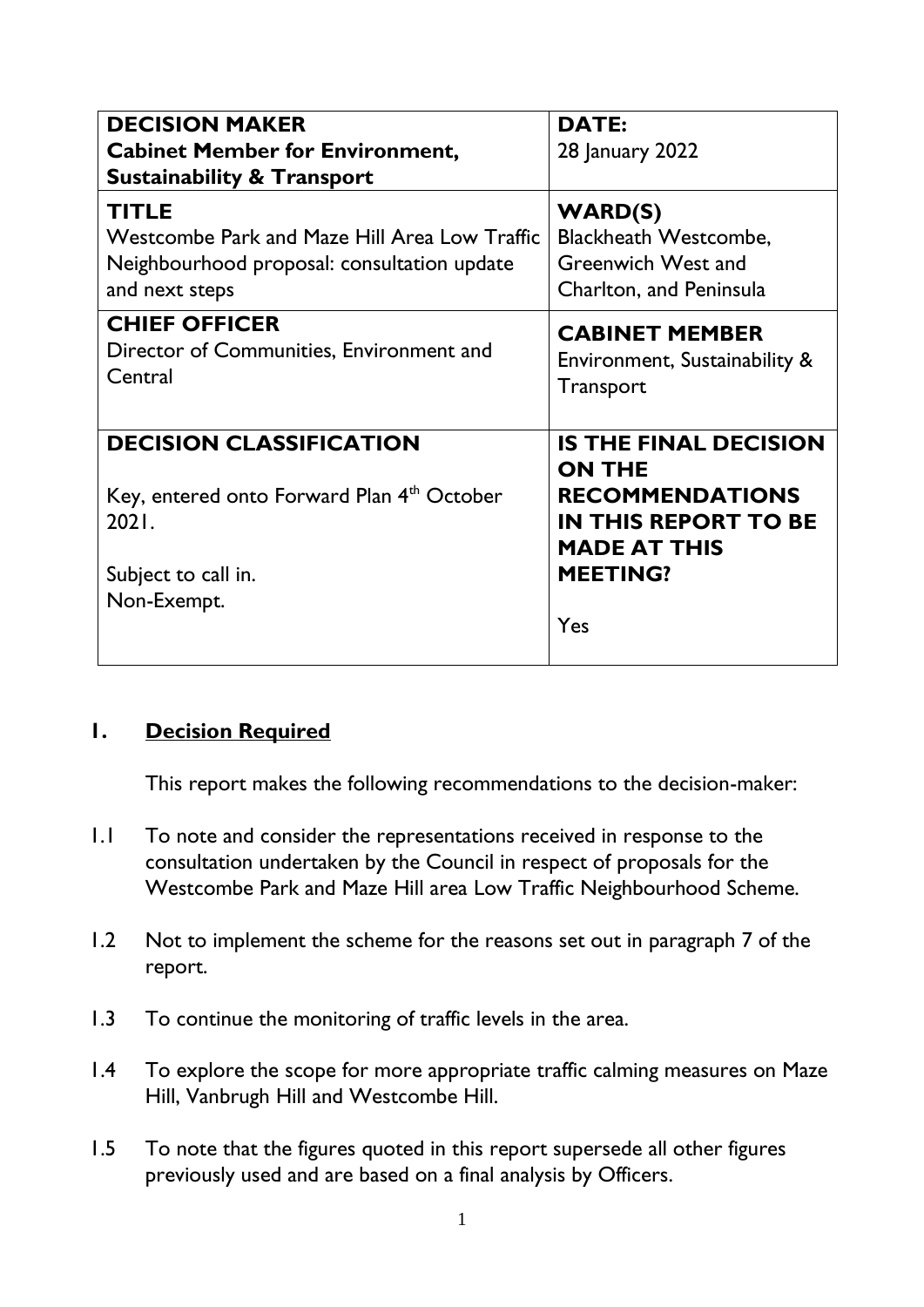| <b>DECISION MAKER</b><br><b>Cabinet Member for Environment,</b><br><b>Sustainability &amp; Transport</b>                                | <b>DATE:</b><br>28 January 2022                                                                                                                         |
|-----------------------------------------------------------------------------------------------------------------------------------------|---------------------------------------------------------------------------------------------------------------------------------------------------------|
| <b>TITLE</b>                                                                                                                            | <b>WARD(S)</b>                                                                                                                                          |
| Westcombe Park and Maze Hill Area Low Traffic                                                                                           | <b>Blackheath Westcombe,</b>                                                                                                                            |
| Neighbourhood proposal: consultation update                                                                                             | <b>Greenwich West and</b>                                                                                                                               |
| and next steps                                                                                                                          | Charlton, and Peninsula                                                                                                                                 |
| <b>CHIEF OFFICER</b>                                                                                                                    | <b>CABINET MEMBER</b>                                                                                                                                   |
| Director of Communities, Environment and                                                                                                | Environment, Sustainability &                                                                                                                           |
| Central                                                                                                                                 | Transport                                                                                                                                               |
| <b>DECISION CLASSIFICATION</b><br>Key, entered onto Forward Plan 4 <sup>th</sup> October<br>2021.<br>Subject to call in.<br>Non-Exempt. | <b>IS THE FINAL DECISION</b><br><b>ON THE</b><br><b>RECOMMENDATIONS</b><br><b>IN THIS REPORT TO BE</b><br><b>MADE AT THIS</b><br><b>MEETING?</b><br>Yes |

#### **1. Decision Required**

This report makes the following recommendations to the decision-maker:

- 1.1 To note and consider the representations received in response to the consultation undertaken by the Council in respect of proposals for the Westcombe Park and Maze Hill area Low Traffic Neighbourhood Scheme.
- 1.2 Not to implement the scheme for the reasons set out in paragraph 7 of the report.
- 1.3 To continue the monitoring of traffic levels in the area.
- 1.4 To explore the scope for more appropriate traffic calming measures on Maze Hill, Vanbrugh Hill and Westcombe Hill.
- 1.5 To note that the figures quoted in this report supersede all other figures previously used and are based on a final analysis by Officers.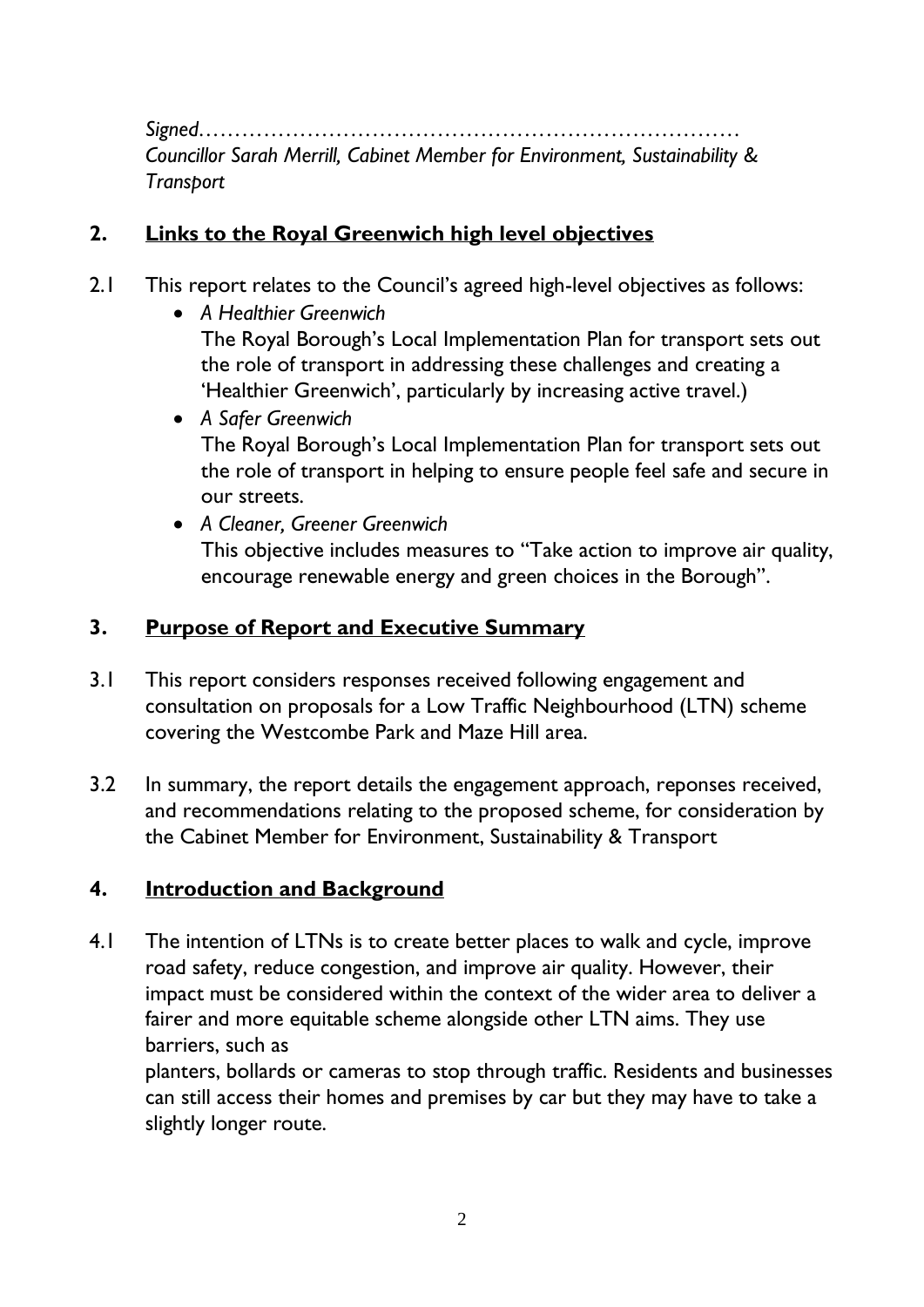*Signed………………………………………………………………… Councillor Sarah Merrill, Cabinet Member for Environment, Sustainability & Transport*

#### **2. Links to the Royal Greenwich high level objectives**

- 2.1 This report relates to the Council's agreed high-level objectives as follows:
	- *A Healthier Greenwich*  The Royal Borough's Local Implementation Plan for transport sets out the role of transport in addressing these challenges and creating a 'Healthier Greenwich', particularly by increasing active travel.)
	- *A Safer Greenwich* The Royal Borough's Local Implementation Plan for transport sets out the role of transport in helping to ensure people feel safe and secure in our streets.
	- *A Cleaner, Greener Greenwich* This objective includes measures to "Take action to improve air quality, encourage renewable energy and green choices in the Borough".

#### **3. Purpose of Report and Executive Summary**

- 3.1 This report considers responses received following engagement and consultation on proposals for a Low Traffic Neighbourhood (LTN) scheme covering the Westcombe Park and Maze Hill area.
- 3.2 In summary, the report details the engagement approach, reponses received, and recommendations relating to the proposed scheme, for consideration by the Cabinet Member for Environment, Sustainability & Transport

#### **4. Introduction and Background**

4.1 The intention of LTNs is to create better places to walk and cycle, improve road safety, reduce congestion, and improve air quality. However, their impact must be considered within the context of the wider area to deliver a fairer and more equitable scheme alongside other LTN aims. They use barriers, such as

planters, bollards or cameras to stop through traffic. Residents and businesses can still access their homes and premises by car but they may have to take a slightly longer route.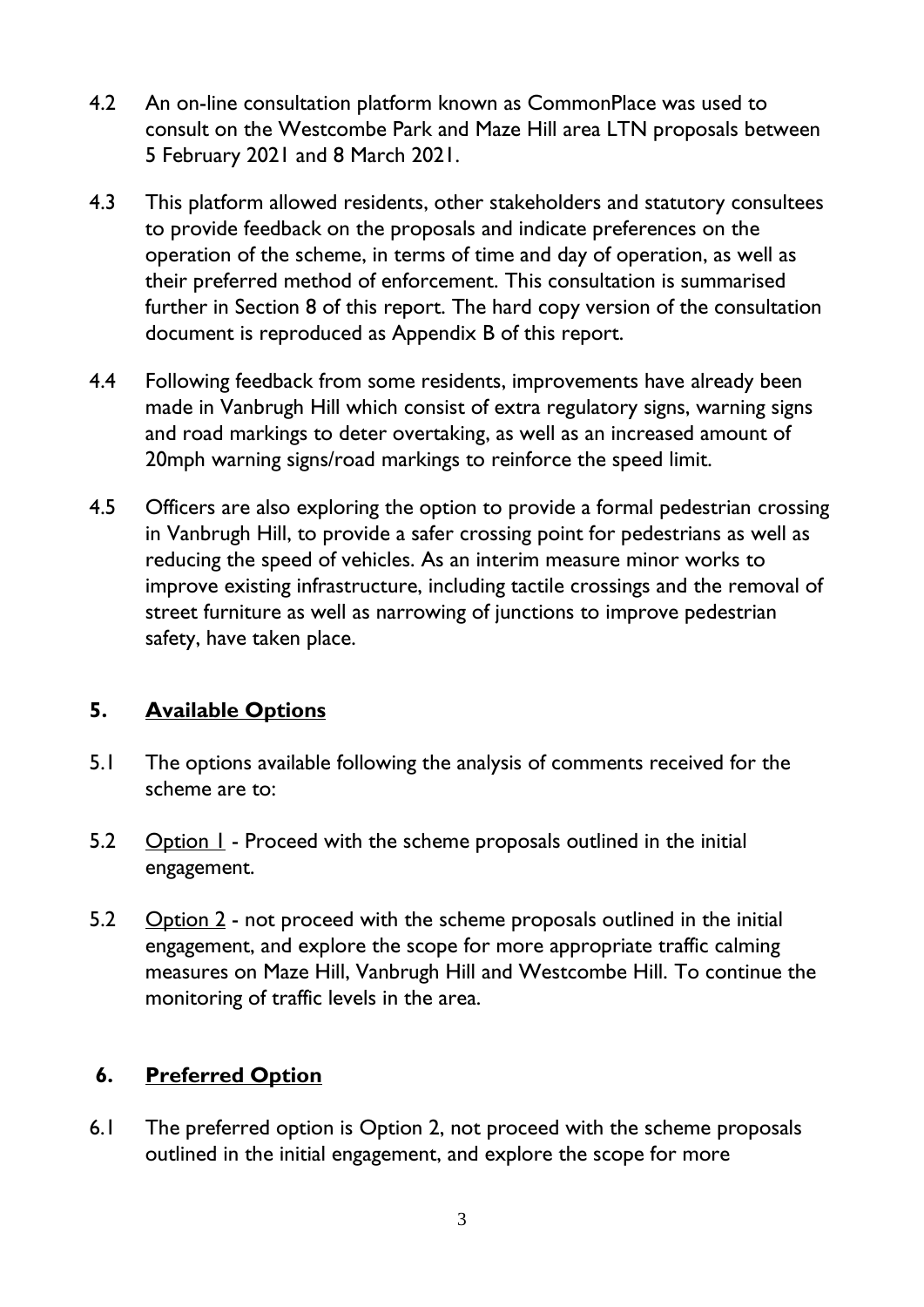- 4.2 An on-line consultation platform known as CommonPlace was used to consult on the Westcombe Park and Maze Hill area LTN proposals between 5 February 2021 and 8 March 2021.
- 4.3 This platform allowed residents, other stakeholders and statutory consultees to provide feedback on the proposals and indicate preferences on the operation of the scheme, in terms of time and day of operation, as well as their preferred method of enforcement. This consultation is summarised further in Section 8 of this report. The hard copy version of the consultation document is reproduced as Appendix B of this report.
- 4.4 Following feedback from some residents, improvements have already been made in Vanbrugh Hill which consist of extra regulatory signs, warning signs and road markings to deter overtaking, as well as an increased amount of 20mph warning signs/road markings to reinforce the speed limit.
- 4.5 Officers are also exploring the option to provide a formal pedestrian crossing in Vanbrugh Hill, to provide a safer crossing point for pedestrians as well as reducing the speed of vehicles. As an interim measure minor works to improve existing infrastructure, including tactile crossings and the removal of street furniture as well as narrowing of junctions to improve pedestrian safety, have taken place.

## **5. Available Options**

- 5.1 The options available following the analysis of comments received for the scheme are to:
- 5.2 Option 1 Proceed with the scheme proposals outlined in the initial engagement.
- 5.2 Option 2 not proceed with the scheme proposals outlined in the initial engagement, and explore the scope for more appropriate traffic calming measures on Maze Hill, Vanbrugh Hill and Westcombe Hill. To continue the monitoring of traffic levels in the area.

#### **6. Preferred Option**

6.1 The preferred option is Option 2, not proceed with the scheme proposals outlined in the initial engagement, and explore the scope for more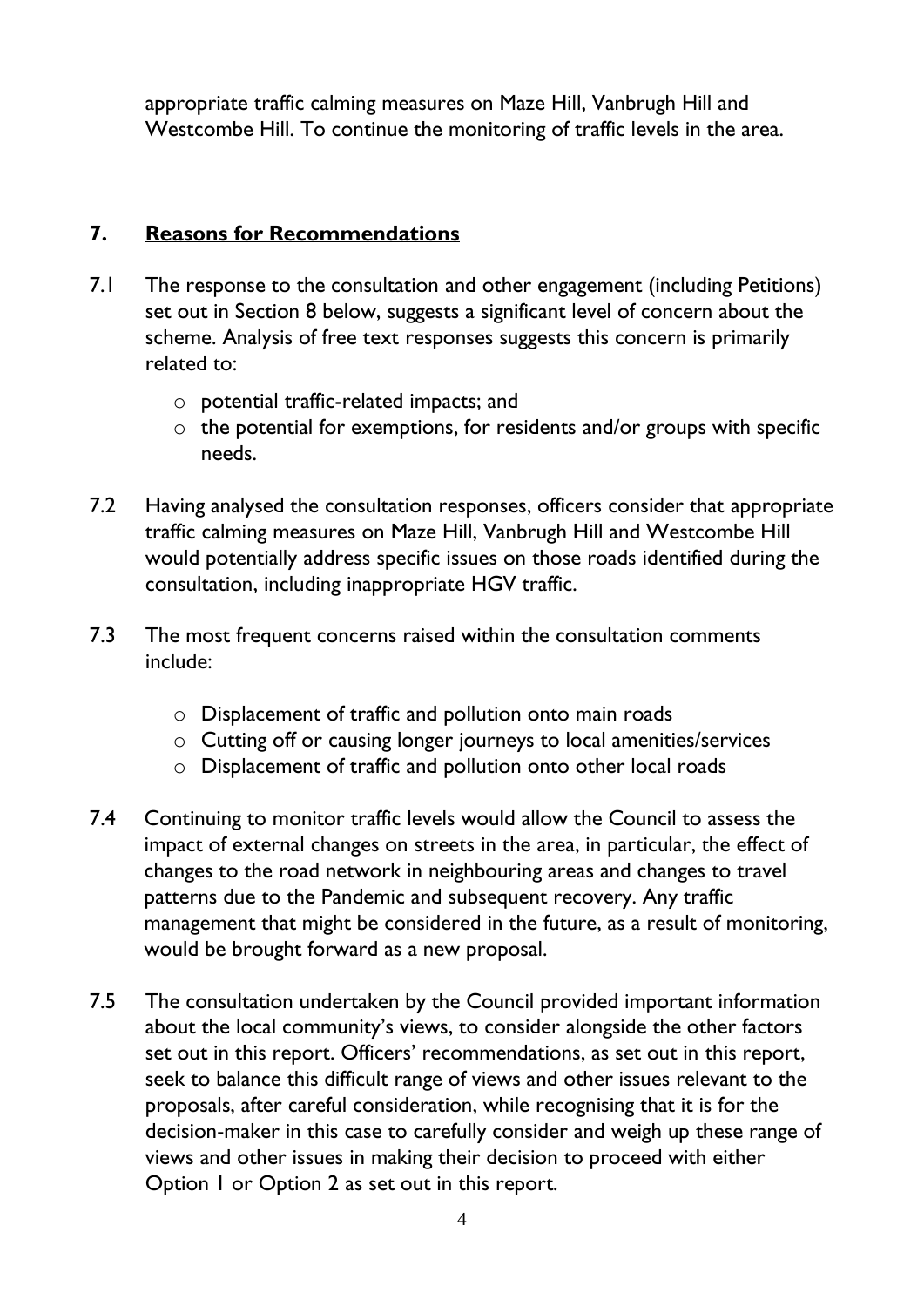appropriate traffic calming measures on Maze Hill, Vanbrugh Hill and Westcombe Hill. To continue the monitoring of traffic levels in the area.

#### **7. Reasons for Recommendations**

- 7.1 The response to the consultation and other engagement (including Petitions) set out in Section 8 below, suggests a significant level of concern about the scheme. Analysis of free text responses suggests this concern is primarily related to:
	- o potential traffic-related impacts; and
	- $\circ$  the potential for exemptions, for residents and/or groups with specific needs.
- 7.2 Having analysed the consultation responses, officers consider that appropriate traffic calming measures on Maze Hill, Vanbrugh Hill and Westcombe Hill would potentially address specific issues on those roads identified during the consultation, including inappropriate HGV traffic.
- 7.3 The most frequent concerns raised within the consultation comments include:
	- o Displacement of traffic and pollution onto main roads
	- o Cutting off or causing longer journeys to local amenities/services
	- o Displacement of traffic and pollution onto other local roads
- 7.4 Continuing to monitor traffic levels would allow the Council to assess the impact of external changes on streets in the area, in particular, the effect of changes to the road network in neighbouring areas and changes to travel patterns due to the Pandemic and subsequent recovery. Any traffic management that might be considered in the future, as a result of monitoring, would be brought forward as a new proposal.
- 7.5 The consultation undertaken by the Council provided important information about the local community's views, to consider alongside the other factors set out in this report. Officers' recommendations, as set out in this report, seek to balance this difficult range of views and other issues relevant to the proposals, after careful consideration, while recognising that it is for the decision-maker in this case to carefully consider and weigh up these range of views and other issues in making their decision to proceed with either Option 1 or Option 2 as set out in this report.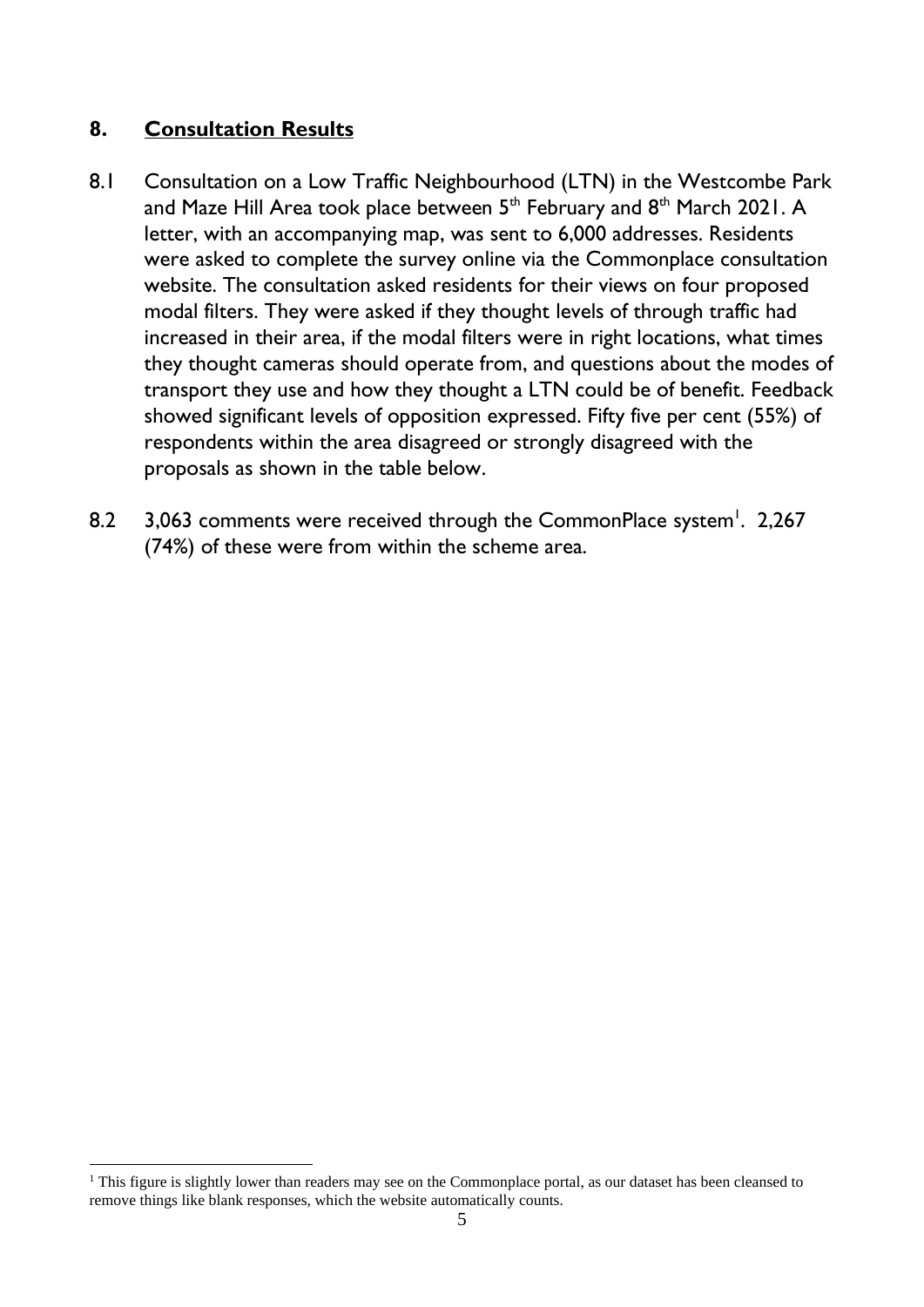#### **8. Consultation Results**

- 8.1 Consultation on a Low Traffic Neighbourhood (LTN) in the Westcombe Park and Maze Hill Area took place between  $5^{\text{th}}$  February and  $8^{\text{th}}$  March 2021. A letter, with an accompanying map, was sent to 6,000 addresses. Residents were asked to complete the survey online via the Commonplace consultation website. The consultation asked residents for their views on four proposed modal filters. They were asked if they thought levels of through traffic had increased in their area, if the modal filters were in right locations, what times they thought cameras should operate from, and questions about the modes of transport they use and how they thought a LTN could be of benefit. Feedback showed significant levels of opposition expressed. Fifty five per cent (55%) of respondents within the area disagreed or strongly disagreed with the proposals as shown in the table below.
- 8.2 3,063 comments were received through the CommonPlace system<sup>1</sup>. 2,267 (74%) of these were from within the scheme area.

<sup>&</sup>lt;sup>1</sup> This figure is slightly lower than readers may see on the Commonplace portal, as our dataset has been cleansed to remove things like blank responses, which the website automatically counts.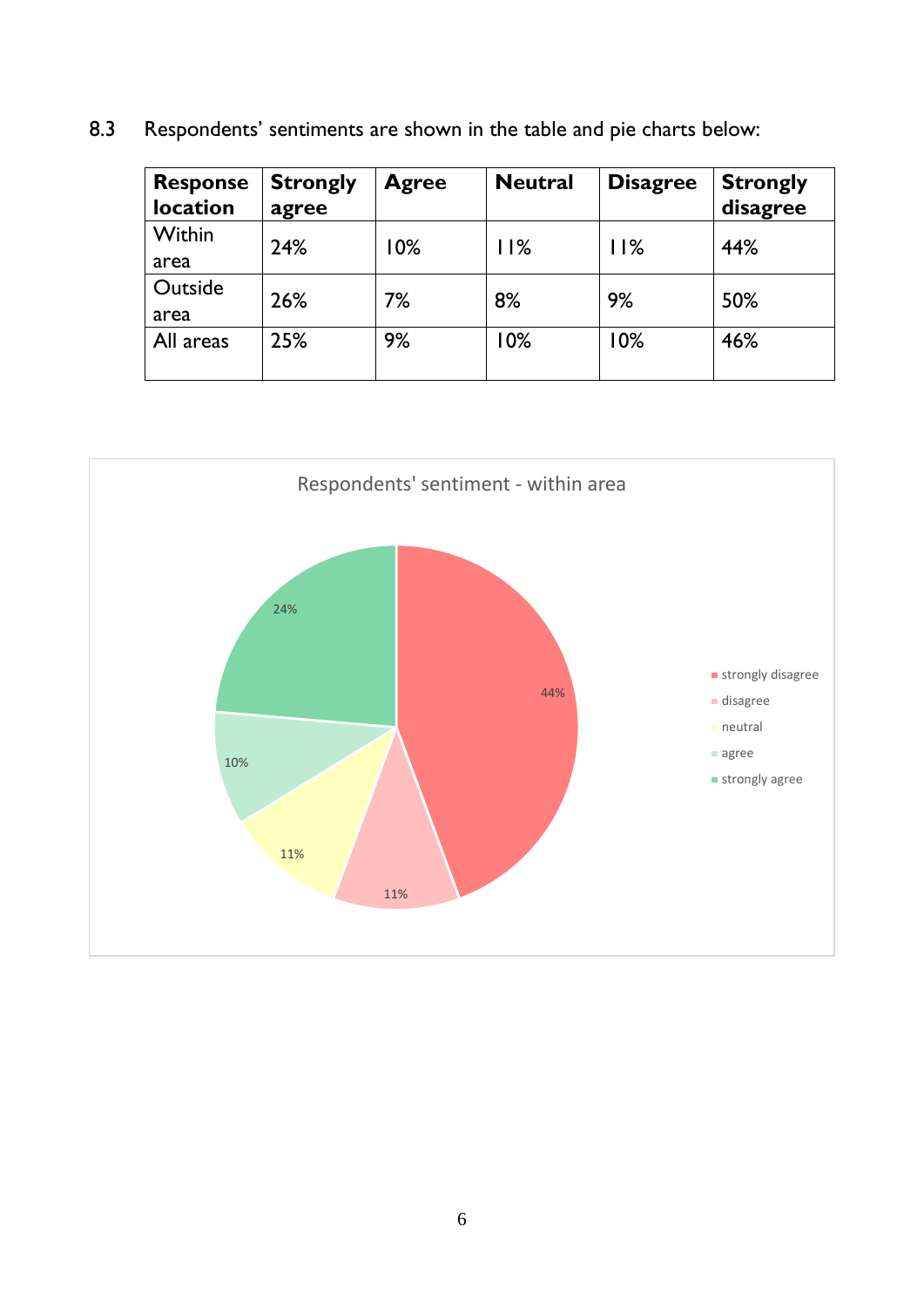8.3 Respondents' sentiments are shown in the table and pie charts below:

| <b>Response</b><br>location | <b>Strongly</b><br>agree | <b>Agree</b> | <b>Neutral</b> | <b>Disagree</b> | <b>Strongly</b><br>disagree |
|-----------------------------|--------------------------|--------------|----------------|-----------------|-----------------------------|
| Within<br>area              | 24%                      | 10%          | 11%            | 11%             | 44%                         |
| Outside<br>area             | 26%                      | 7%           | 8%             | 9%              | 50%                         |
| All areas                   | 25%                      | 9%           | 10%            | 10%             | 46%                         |

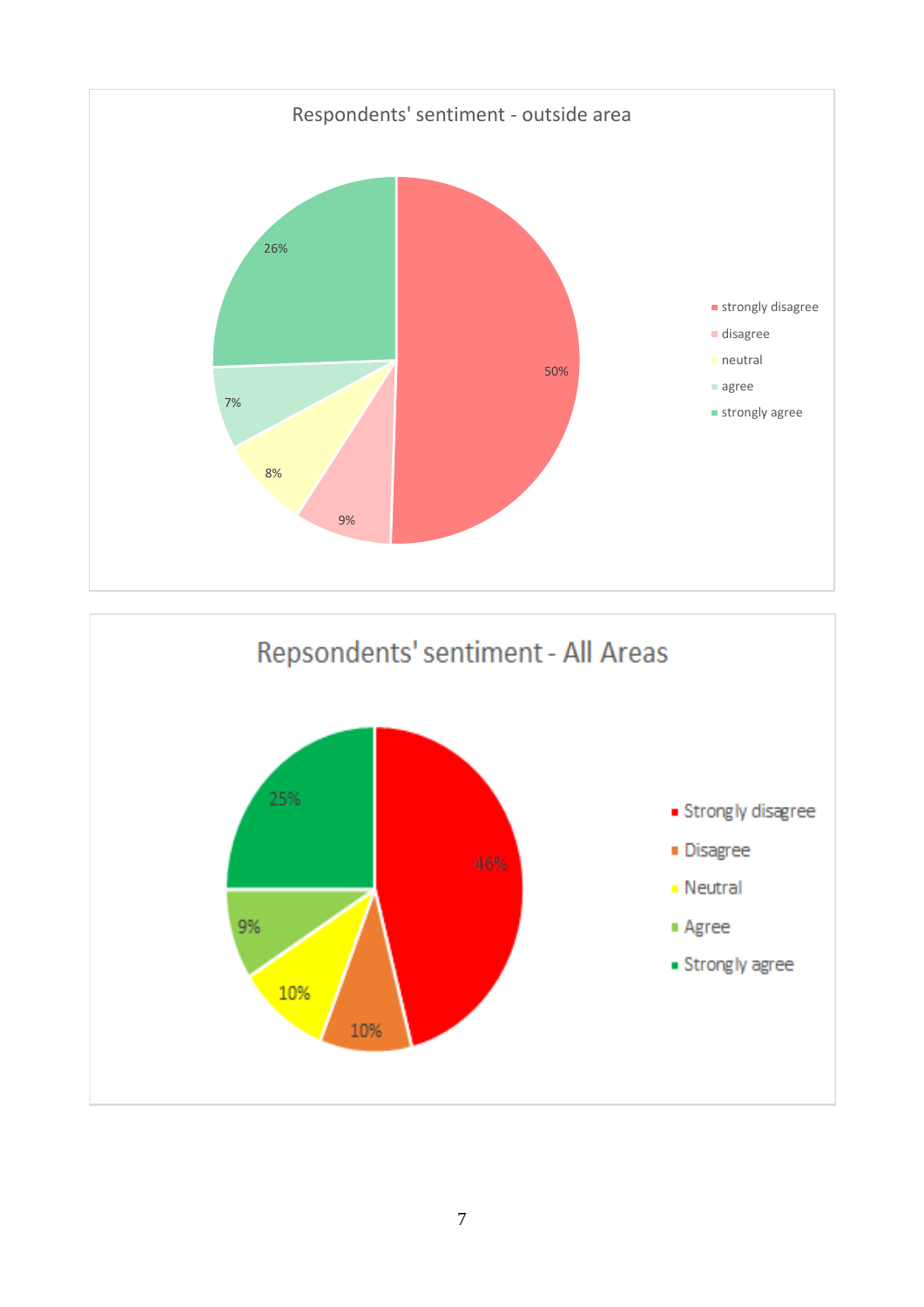

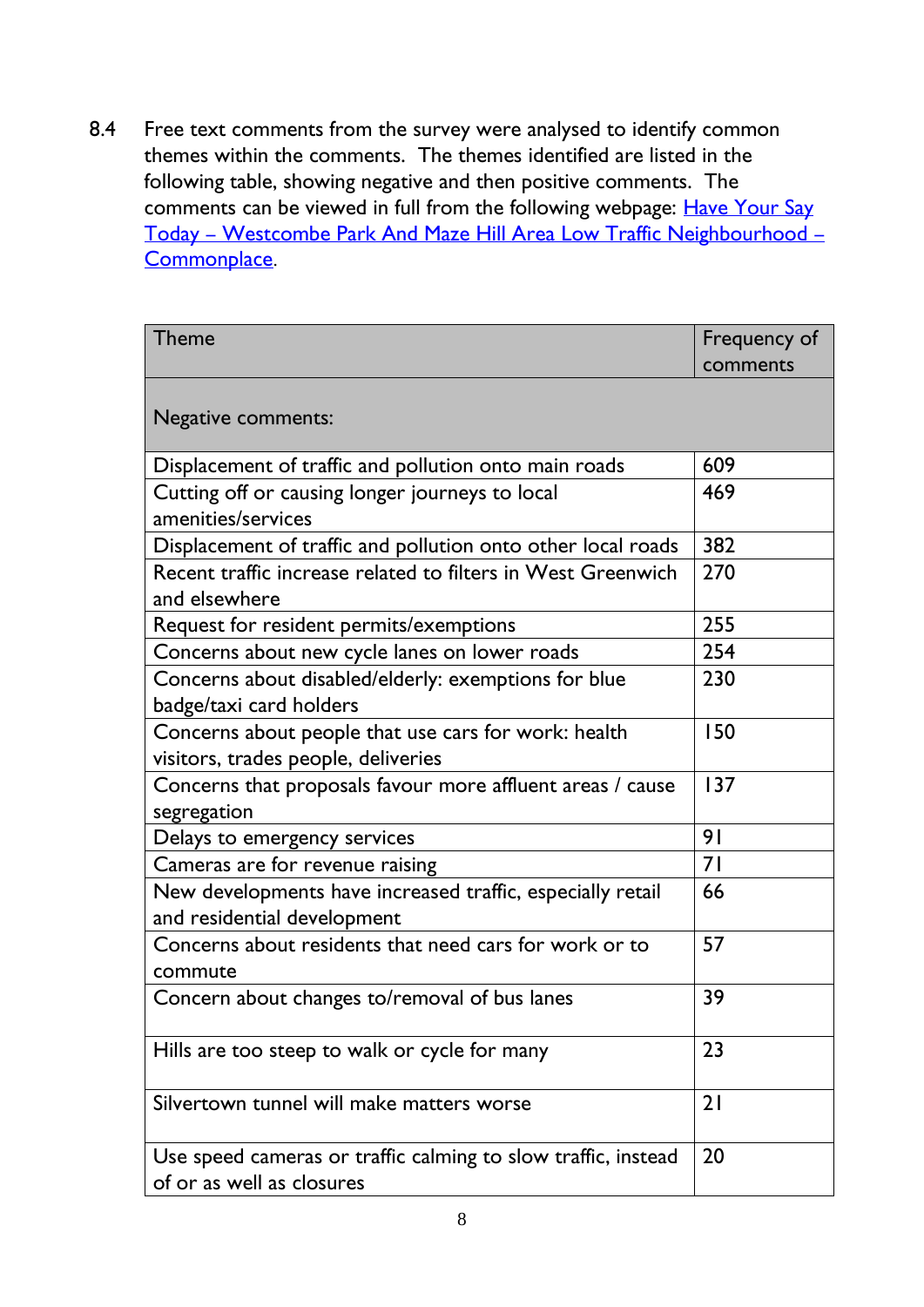8.4 Free text comments from the survey were analysed to identify common themes within the comments. The themes identified are listed in the following table, showing negative and then positive comments. The comments can be viewed in full from the following webpage: [Have Your Say](https://greenersafergreenwich.commonplace.is/proposals/westcombe-park-and-maze-hill-area-low-traffic-neighbourhood)  Today – [Westcombe Park And Maze Hill Area Low Traffic Neighbourhood](https://greenersafergreenwich.commonplace.is/proposals/westcombe-park-and-maze-hill-area-low-traffic-neighbourhood) – [Commonplace](https://greenersafergreenwich.commonplace.is/proposals/westcombe-park-and-maze-hill-area-low-traffic-neighbourhood).

| Theme                                                                                       | Frequency of<br>comments |
|---------------------------------------------------------------------------------------------|--------------------------|
| Negative comments:                                                                          |                          |
| Displacement of traffic and pollution onto main roads                                       | 609                      |
| Cutting off or causing longer journeys to local<br>amenities/services                       | 469                      |
| Displacement of traffic and pollution onto other local roads                                | 382                      |
| Recent traffic increase related to filters in West Greenwich<br>and elsewhere               | 270                      |
| Request for resident permits/exemptions                                                     | 255                      |
| Concerns about new cycle lanes on lower roads                                               | 254                      |
| Concerns about disabled/elderly: exemptions for blue<br>badge/taxi card holders             | 230                      |
| Concerns about people that use cars for work: health<br>visitors, trades people, deliveries | 150                      |
| Concerns that proposals favour more affluent areas / cause<br>segregation                   | 137                      |
| Delays to emergency services                                                                | 9 <sub>1</sub>           |
| Cameras are for revenue raising                                                             | 71                       |
| New developments have increased traffic, especially retail<br>and residential development   | 66                       |
| Concerns about residents that need cars for work or to<br>commute                           | 57                       |
| Concern about changes to/removal of bus lanes                                               | 39                       |
| Hills are too steep to walk or cycle for many                                               | 23                       |
| Silvertown tunnel will make matters worse                                                   | 21                       |
| Use speed cameras or traffic calming to slow traffic, instead<br>of or as well as closures  | 20                       |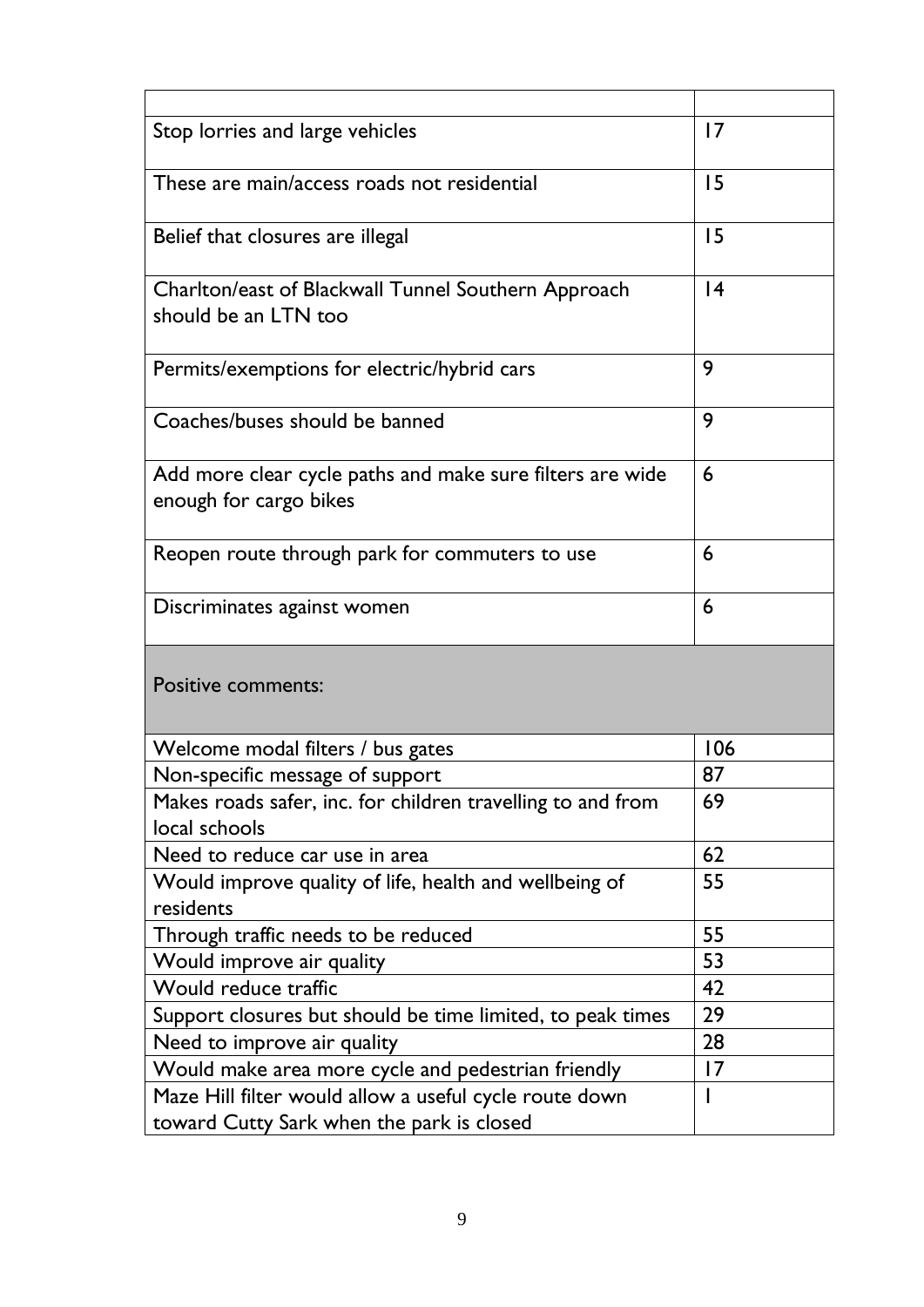| Stop lorries and large vehicles                                                                     | $\overline{17}$ |
|-----------------------------------------------------------------------------------------------------|-----------------|
| These are main/access roads not residential                                                         | 15              |
| Belief that closures are illegal                                                                    | 15              |
| Charlton/east of Blackwall Tunnel Southern Approach<br>should be an LTN too                         | 4               |
| Permits/exemptions for electric/hybrid cars                                                         | 9               |
| Coaches/buses should be banned                                                                      | 9               |
| Add more clear cycle paths and make sure filters are wide<br>enough for cargo bikes                 | 6               |
| Reopen route through park for commuters to use                                                      | 6               |
| Discriminates against women                                                                         | 6               |
| <b>Positive comments:</b>                                                                           |                 |
| Welcome modal filters / bus gates                                                                   | 106             |
| Non-specific message of support                                                                     | 87              |
| Makes roads safer, inc. for children travelling to and from<br>local schools                        | 69              |
| Need to reduce car use in area                                                                      | 62              |
| Would improve quality of life, health and wellbeing of<br>residents                                 | 55              |
| Through traffic needs to be reduced                                                                 | 55              |
| Would improve air quality                                                                           | 53              |
| Would reduce traffic                                                                                | 42              |
| Support closures but should be time limited, to peak times                                          | 29              |
| Need to improve air quality                                                                         | 28              |
| Would make area more cycle and pedestrian friendly                                                  | 17              |
| Maze Hill filter would allow a useful cycle route down<br>toward Cutty Sark when the park is closed |                 |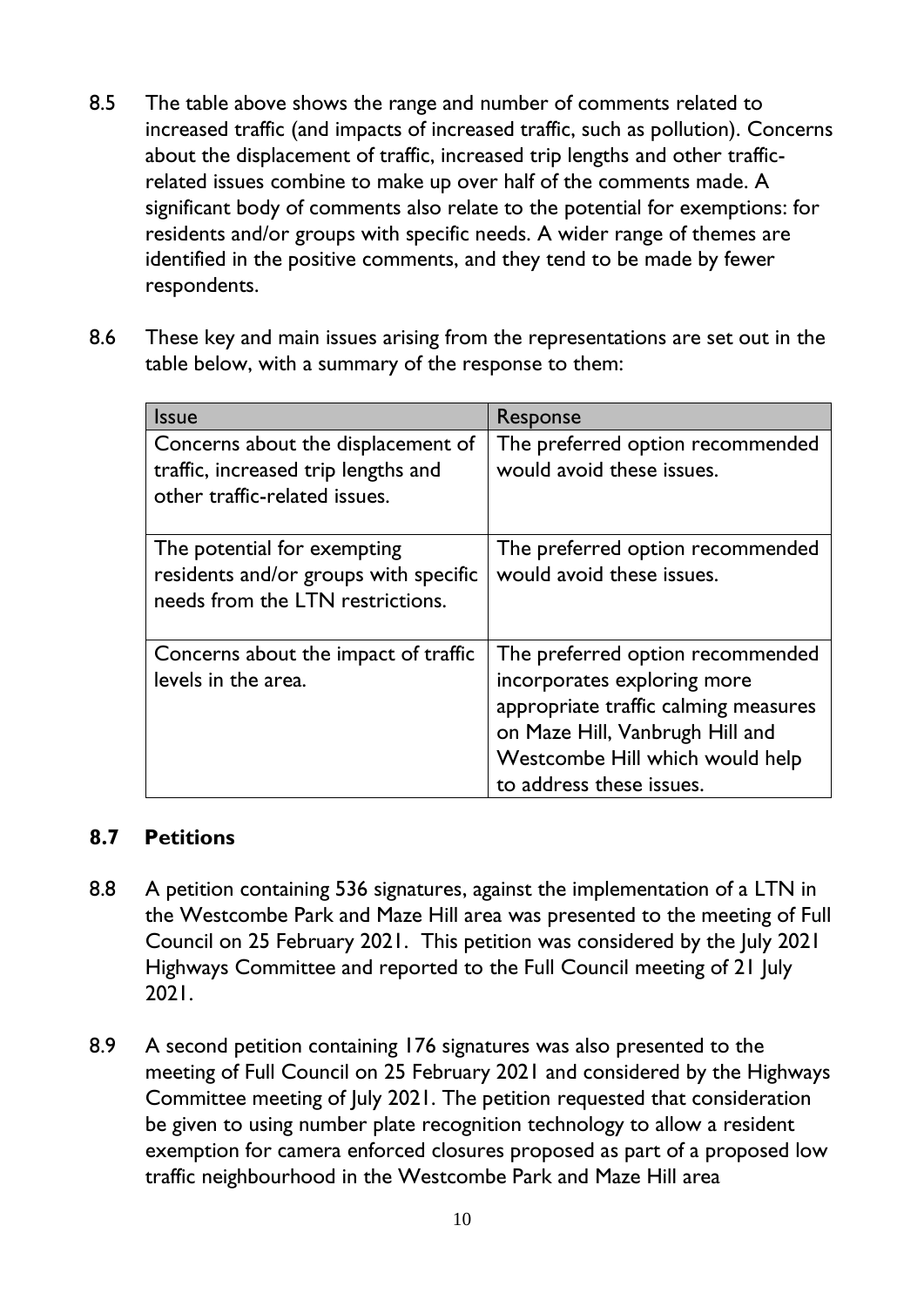- 8.5 The table above shows the range and number of comments related to increased traffic (and impacts of increased traffic, such as pollution). Concerns about the displacement of traffic, increased trip lengths and other trafficrelated issues combine to make up over half of the comments made. A significant body of comments also relate to the potential for exemptions: for residents and/or groups with specific needs. A wider range of themes are identified in the positive comments, and they tend to be made by fewer respondents.
- 8.6 These key and main issues arising from the representations are set out in the table below, with a summary of the response to them:

| <b>Issue</b>                                                                                               | Response                                                                                                                                                                                                  |
|------------------------------------------------------------------------------------------------------------|-----------------------------------------------------------------------------------------------------------------------------------------------------------------------------------------------------------|
| Concerns about the displacement of<br>traffic, increased trip lengths and<br>other traffic-related issues. | The preferred option recommended<br>would avoid these issues.                                                                                                                                             |
| The potential for exempting<br>residents and/or groups with specific<br>needs from the LTN restrictions.   | The preferred option recommended<br>would avoid these issues.                                                                                                                                             |
| Concerns about the impact of traffic<br>levels in the area.                                                | The preferred option recommended<br>incorporates exploring more<br>appropriate traffic calming measures<br>on Maze Hill, Vanbrugh Hill and<br>Westcombe Hill which would help<br>to address these issues. |

#### **8.7 Petitions**

- 8.8 A petition containing 536 signatures, against the implementation of a LTN in the Westcombe Park and Maze Hill area was presented to the meeting of Full Council on 25 February 2021. This petition was considered by the July 2021 Highways Committee and reported to the Full Council meeting of 21 July 2021.
- 8.9 A second petition containing 176 signatures was also presented to the meeting of Full Council on 25 February 2021 and considered by the Highways Committee meeting of July 2021. The petition requested that consideration be given to using number plate recognition technology to allow a resident exemption for camera enforced closures proposed as part of a proposed low traffic neighbourhood in the Westcombe Park and Maze Hill area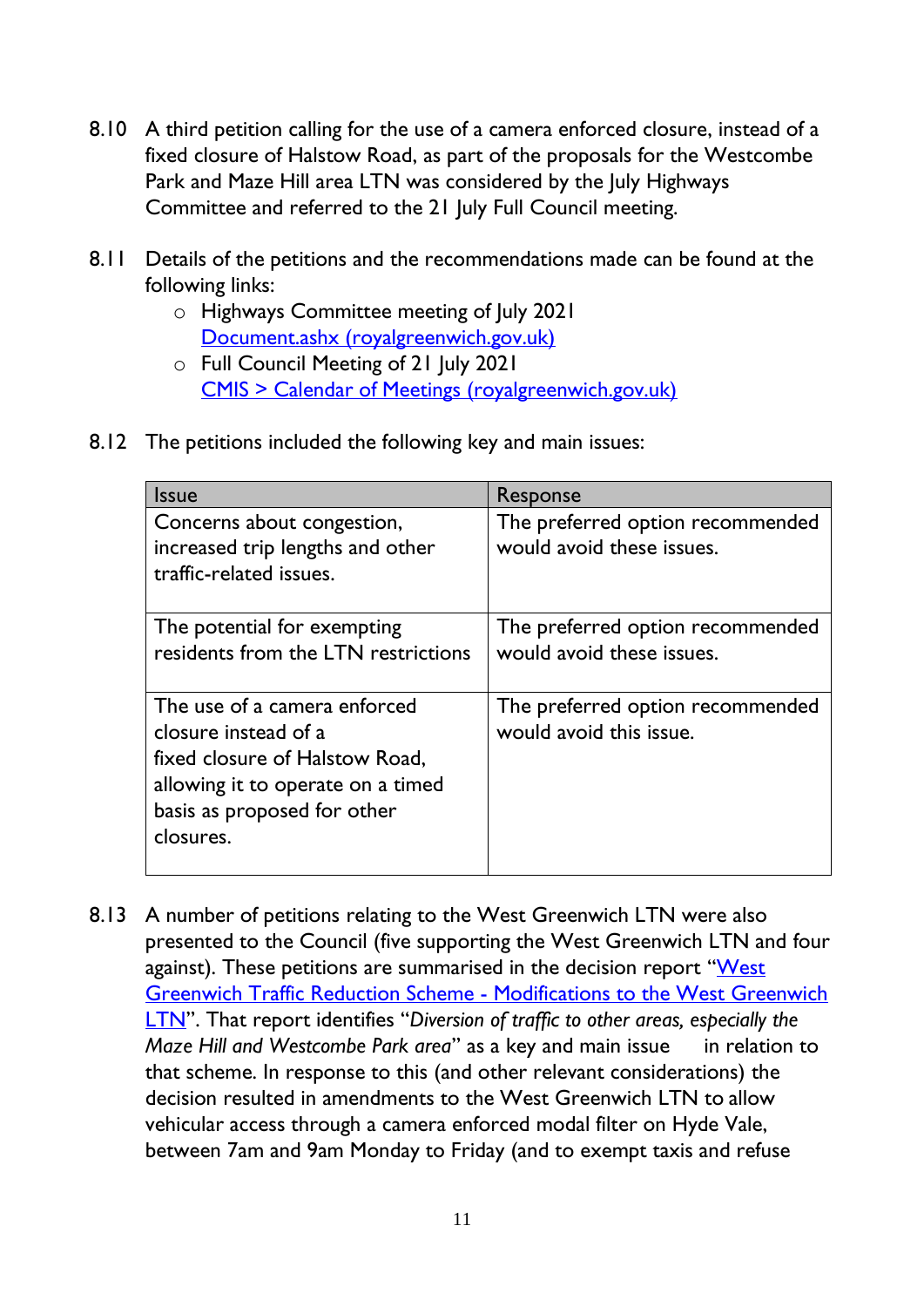- 8.10 A third petition calling for the use of a camera enforced closure, instead of a fixed closure of Halstow Road, as part of the proposals for the Westcombe Park and Maze Hill area LTN was considered by the July Highways Committee and referred to the 21 July Full Council meeting.
- 8.11 Details of the petitions and the recommendations made can be found at the following links:
	- o Highways Committee meeting of July 2021 [Document.ashx \(royalgreenwich.gov.uk\)](https://committees.royalgreenwich.gov.uk/Document.ashx?czJKcaeAi5tUFL1DTL2UE4zNRBcoShgo=g1x90MXwv6jwN1PmrY4LhxnA%2f%2b2ToskskT%2bakxCiLWvegRM44jq6ug%3d%3d&rUzwRPf%2bZ3zd4E7Ikn8Lyw%3d%3d=pwRE6AGJFLDNlh225F5QMaQWCtPHwdhUfCZ%2fLUQzgA2uL5jNRG4jdQ%3d%3d&mCTIbCubSFfXsDGW9IXnlg%3d%3d=hFflUdN3100%3d&kCx1AnS9%2fpWZQ40DXFvdEw%3d%3d=hFflUdN3100%3d&uJovDxwdjMPoYv%2bAJvYtyA%3d%3d=ctNJFf55vVA%3d&FgPlIEJYlotS%2bYGoBi5olA%3d%3d=NHdURQburHA%3d&d9Qjj0ag1Pd993jsyOJqFvmyB7X0CSQK=ctNJFf55vVA%3d&WGewmoAfeNR9xqBux0r1Q8Za60lavYmz=ctNJFf55vVA%3d&WGewmoAfeNQ16B2MHuCpMRKZMwaG1PaO=ctNJFf55vVA%3d)
	- o Full Council Meeting of 21 July 2021 [CMIS > Calendar of Meetings \(royalgreenwich.gov.uk\)](https://committees.royalgreenwich.gov.uk/CalendarofMeetings/tabid/70/ctl/ViewMeetingPublic/mid/397/Meeting/2364/Committee/81/SelectedTab/Documents/Default.aspx)
- 8.12 The petitions included the following key and main issues:

| <b>Issue</b>                                                                                                                                                            | Response                                                      |
|-------------------------------------------------------------------------------------------------------------------------------------------------------------------------|---------------------------------------------------------------|
| Concerns about congestion,<br>increased trip lengths and other<br>traffic-related issues.                                                                               | The preferred option recommended<br>would avoid these issues. |
|                                                                                                                                                                         |                                                               |
| The potential for exempting<br>residents from the LTN restrictions                                                                                                      | The preferred option recommended<br>would avoid these issues. |
| The use of a camera enforced<br>closure instead of a<br>fixed closure of Halstow Road,<br>allowing it to operate on a timed<br>basis as proposed for other<br>closures. | The preferred option recommended<br>would avoid this issue.   |

8.13 A number of petitions relating to the West Greenwich LTN were also presented to the Council (five supporting the West Greenwich LTN and four against). These petitions are summarised in the decision report "West [Greenwich Traffic Reduction Scheme -](https://committees.royalgreenwich.gov.uk/Document.ashx?czJKcaeAi5tUFL1DTL2UE4zNRBcoShgo=Rj7u9xA3cPLi1ckiFyKI0jXjtBO4GLFcJR9xRRXEU6hMf9UimqZR7w%3d%3d&rUzwRPf%2bZ3zd4E7Ikn8Lyw%3d%3d=pwRE6AGJFLDNlh225F5QMaQWCtPHwdhUfCZ%2fLUQzgA2uL5jNRG4jdQ%3d%3d&mCTIbCubSFfXsDGW9IXnlg%3d%3d=hFflUdN3100%3d&kCx1AnS9%2fpWZQ40DXFvdEw%3d%3d=hFflUdN3100%3d&uJovDxwdjMPoYv%2bAJvYtyA%3d%3d=ctNJFf55vVA%3d&FgPlIEJYlotS%2bYGoBi5olA%3d%3d=NHdURQburHA%3d&d9Qjj0ag1Pd993jsyOJqFvmyB7X0CSQK=ctNJFf55vVA%3d&WGewmoAfeNR9xqBux0r1Q8Za60lavYmz=ctNJFf55vVA%3d&WGewmoAfeNQ16B2MHuCpMRKZMwaG1PaO=ctNJFf55vVA%3d) Modifications to the West Greenwich [LTN](https://committees.royalgreenwich.gov.uk/Document.ashx?czJKcaeAi5tUFL1DTL2UE4zNRBcoShgo=Rj7u9xA3cPLi1ckiFyKI0jXjtBO4GLFcJR9xRRXEU6hMf9UimqZR7w%3d%3d&rUzwRPf%2bZ3zd4E7Ikn8Lyw%3d%3d=pwRE6AGJFLDNlh225F5QMaQWCtPHwdhUfCZ%2fLUQzgA2uL5jNRG4jdQ%3d%3d&mCTIbCubSFfXsDGW9IXnlg%3d%3d=hFflUdN3100%3d&kCx1AnS9%2fpWZQ40DXFvdEw%3d%3d=hFflUdN3100%3d&uJovDxwdjMPoYv%2bAJvYtyA%3d%3d=ctNJFf55vVA%3d&FgPlIEJYlotS%2bYGoBi5olA%3d%3d=NHdURQburHA%3d&d9Qjj0ag1Pd993jsyOJqFvmyB7X0CSQK=ctNJFf55vVA%3d&WGewmoAfeNR9xqBux0r1Q8Za60lavYmz=ctNJFf55vVA%3d&WGewmoAfeNQ16B2MHuCpMRKZMwaG1PaO=ctNJFf55vVA%3d)". That report identifies "*Diversion of traffic to other areas, especially the Maze Hill and Westcombe Park area*" as a key and main issue in relation to that scheme. In response to this (and other relevant considerations) the decision resulted in amendments to the West Greenwich LTN to allow vehicular access through a camera enforced modal filter on Hyde Vale, between 7am and 9am Monday to Friday (and to exempt taxis and refuse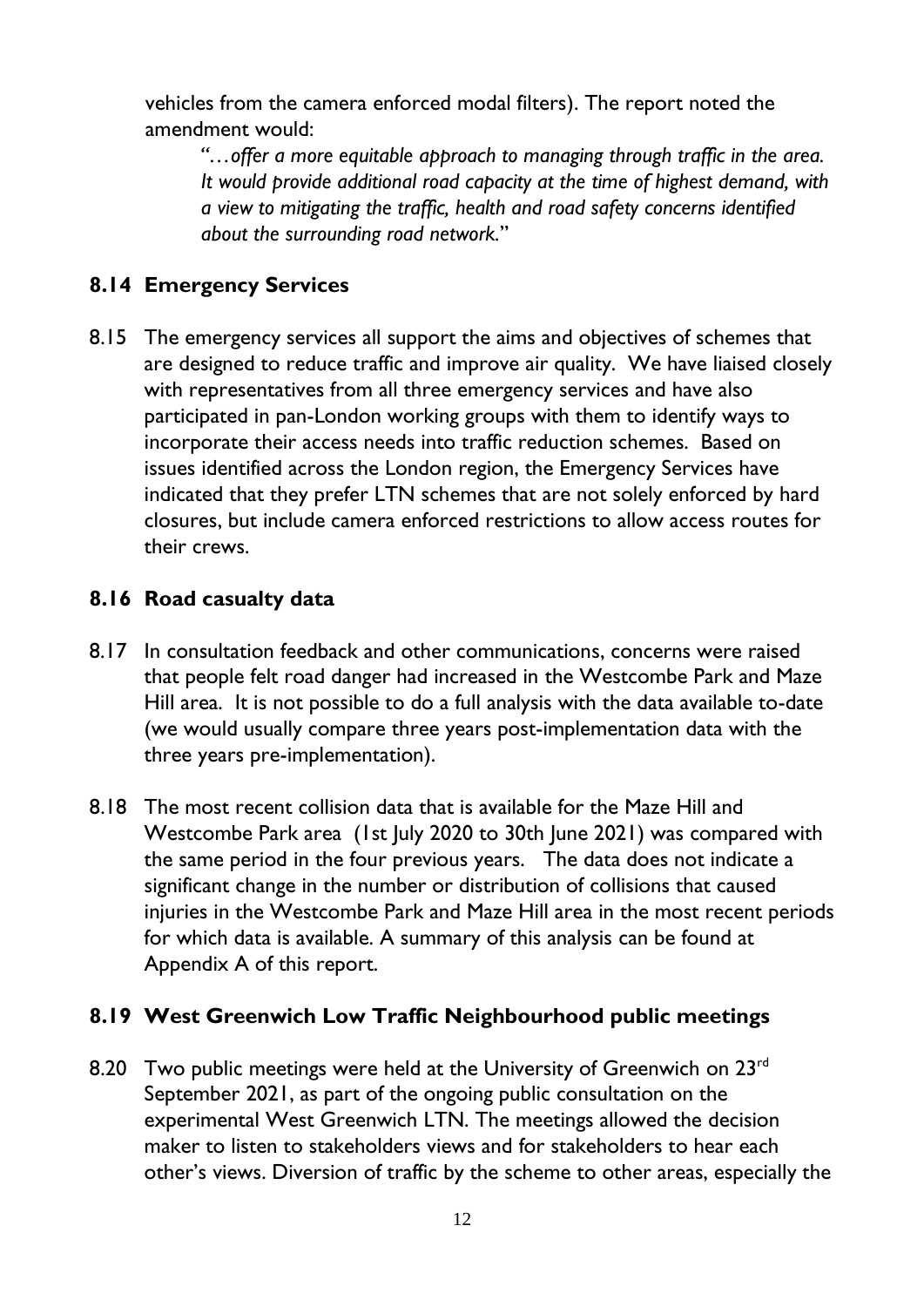vehicles from the camera enforced modal filters). The report noted the amendment would:

*"…offer a more equitable approach to managing through traffic in the area. It would provide additional road capacity at the time of highest demand, with a view to mitigating the traffic, health and road safety concerns identified about the surrounding road network.*"

#### **8.14 Emergency Services**

8.15 The emergency services all support the aims and objectives of schemes that are designed to reduce traffic and improve air quality. We have liaised closely with representatives from all three emergency services and have also participated in pan-London working groups with them to identify ways to incorporate their access needs into traffic reduction schemes. Based on issues identified across the London region, the Emergency Services have indicated that they prefer LTN schemes that are not solely enforced by hard closures, but include camera enforced restrictions to allow access routes for their crews.

#### **8.16 Road casualty data**

- 8.17 In consultation feedback and other communications, concerns were raised that people felt road danger had increased in the Westcombe Park and Maze Hill area. It is not possible to do a full analysis with the data available to-date (we would usually compare three years post-implementation data with the three years pre-implementation).
- 8.18 The most recent collision data that is available for the Maze Hill and Westcombe Park area (1st July 2020 to 30th June 2021) was compared with the same period in the four previous years. The data does not indicate a significant change in the number or distribution of collisions that caused injuries in the Westcombe Park and Maze Hill area in the most recent periods for which data is available. A summary of this analysis can be found at Appendix A of this report.

#### **8.19 West Greenwich Low Traffic Neighbourhood public meetings**

8.20 Two public meetings were held at the University of Greenwich on  $23<sup>rd</sup>$ September 2021, as part of the [ongoing public consultation](https://greenersafergreenwich.commonplace.is/proposals/west-greenwich-low-traffic-neighbourhood) on the [experimental West Greenwich LTN.](https://greenersafergreenwich.commonplace.is/proposals/west-greenwich-low-traffic-neighbourhood) The meetings allowed the decision maker to listen to stakeholders views and for stakeholders to hear each other's views. Diversion of traffic by the scheme to other areas, especially the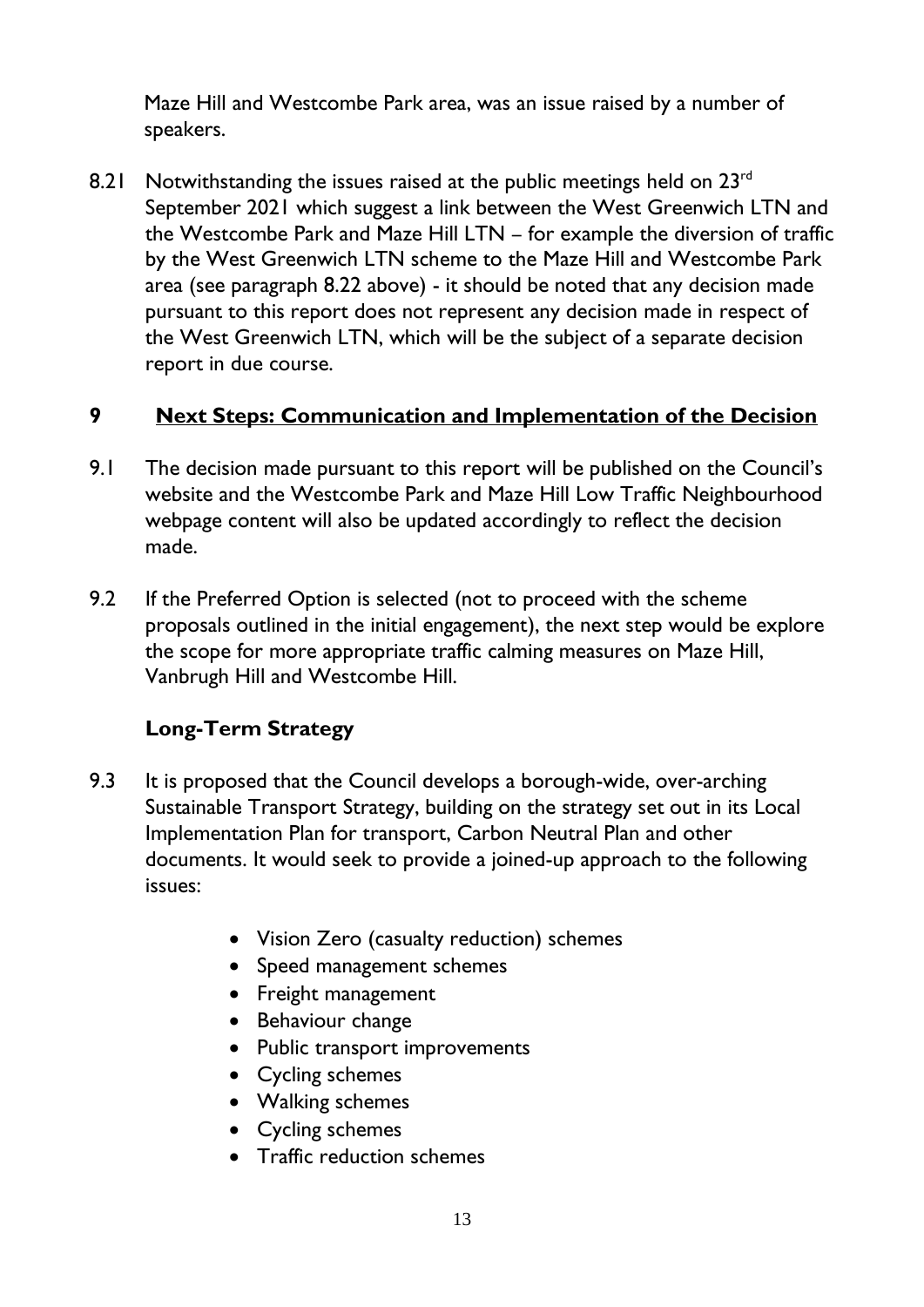Maze Hill and Westcombe Park area, was an issue raised by a number of speakers.

8.21 Notwithstanding the issues raised at the public meetings held on  $23<sup>rd</sup>$ September 2021 which suggest a link between the West Greenwich LTN and the Westcombe Park and Maze Hill LTN – for example the diversion of traffic by the West Greenwich LTN scheme to the Maze Hill and Westcombe Park area (see paragraph 8.22 above) - it should be noted that any decision made pursuant to this report does not represent any decision made in respect of the West Greenwich LTN, which will be the subject of a separate decision report in due course.

#### **9 Next Steps: Communication and Implementation of the Decision**

- 9.1 The decision made pursuant to this report will be published on the Council's website and the Westcombe Park and Maze Hill Low Traffic Neighbourhood webpage content will also be updated accordingly to reflect the decision made.
- 9.2 If the Preferred Option is selected (not to proceed with the scheme proposals outlined in the initial engagement), the next step would be explore the scope for more appropriate traffic calming measures on Maze Hill, Vanbrugh Hill and Westcombe Hill.

## **Long-Term Strategy**

- 9.3 It is proposed that the Council develops a borough-wide, over-arching Sustainable Transport Strategy, building on the strategy set out in its Local Implementation Plan for transport, Carbon Neutral Plan and other documents. It would seek to provide a joined-up approach to the following issues:
	- Vision Zero (casualty reduction) schemes
	- Speed management schemes
	- Freight management
	- Behaviour change
	- Public transport improvements
	- Cycling schemes
	- Walking schemes
	- Cycling schemes
	- Traffic reduction schemes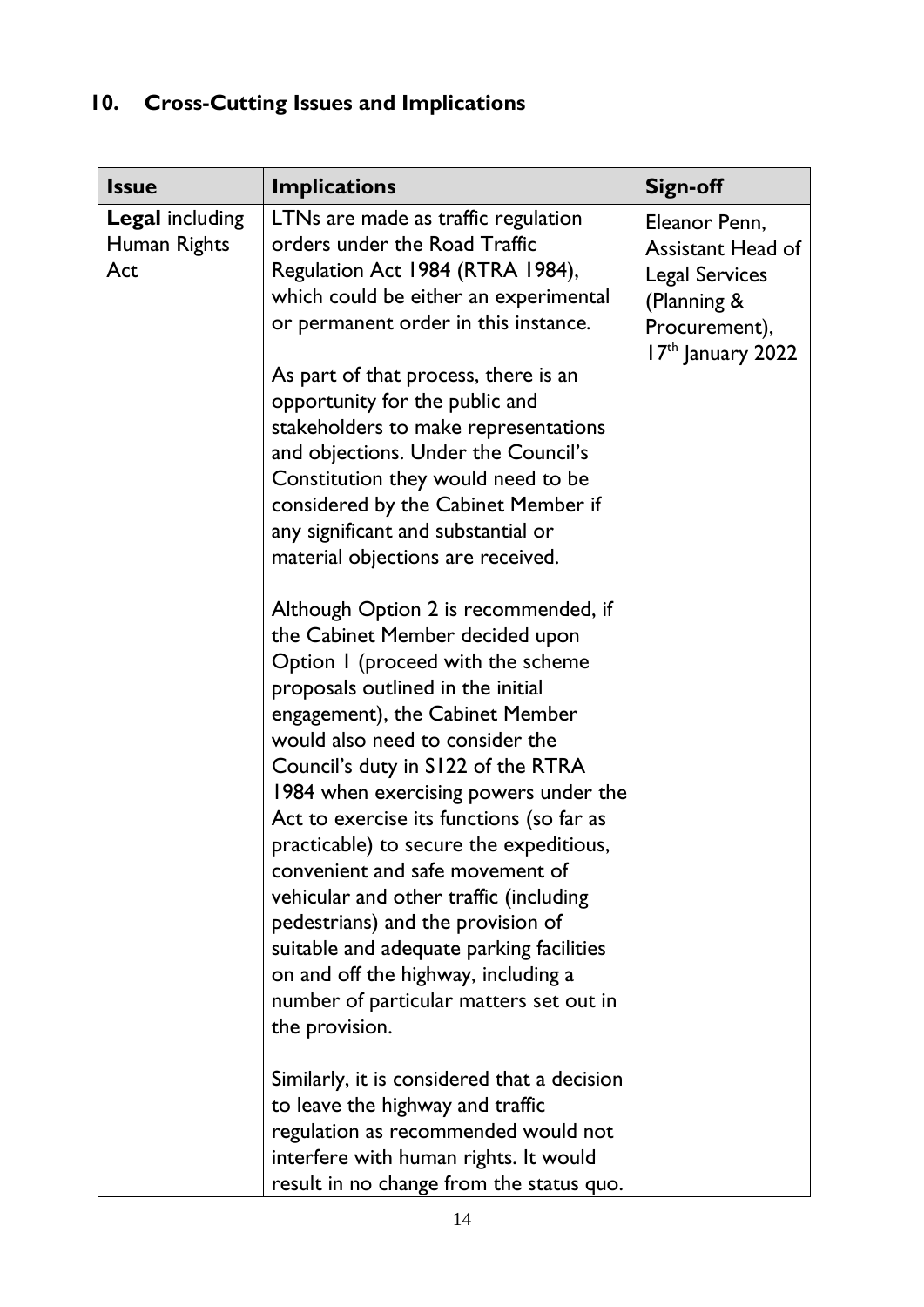# **10. Cross-Cutting Issues and Implications**

| <b>Issue</b>                                  | <b>Implications</b>                                                                                                                                                                                                                                                                                                                                                                                                                                                                                                                                                                                                                                             | <b>Sign-off</b>                                                                                                           |
|-----------------------------------------------|-----------------------------------------------------------------------------------------------------------------------------------------------------------------------------------------------------------------------------------------------------------------------------------------------------------------------------------------------------------------------------------------------------------------------------------------------------------------------------------------------------------------------------------------------------------------------------------------------------------------------------------------------------------------|---------------------------------------------------------------------------------------------------------------------------|
| <b>Legal including</b><br>Human Rights<br>Act | LTNs are made as traffic regulation<br>orders under the Road Traffic<br>Regulation Act 1984 (RTRA 1984),<br>which could be either an experimental<br>or permanent order in this instance.                                                                                                                                                                                                                                                                                                                                                                                                                                                                       | Eleanor Penn,<br><b>Assistant Head of</b><br><b>Legal Services</b><br>(Planning &<br>Procurement),<br>$17th$ January 2022 |
|                                               | As part of that process, there is an<br>opportunity for the public and<br>stakeholders to make representations<br>and objections. Under the Council's<br>Constitution they would need to be<br>considered by the Cabinet Member if<br>any significant and substantial or<br>material objections are received.                                                                                                                                                                                                                                                                                                                                                   |                                                                                                                           |
|                                               | Although Option 2 is recommended, if<br>the Cabinet Member decided upon<br>Option I (proceed with the scheme<br>proposals outlined in the initial<br>engagement), the Cabinet Member<br>would also need to consider the<br>Council's duty in S122 of the RTRA<br>1984 when exercising powers under the<br>Act to exercise its functions (so far as<br>practicable) to secure the expeditious,<br>convenient and safe movement of<br>vehicular and other traffic (including<br>pedestrians) and the provision of<br>suitable and adequate parking facilities<br>on and off the highway, including a<br>number of particular matters set out in<br>the provision. |                                                                                                                           |
|                                               | Similarly, it is considered that a decision<br>to leave the highway and traffic<br>regulation as recommended would not<br>interfere with human rights. It would<br>result in no change from the status quo.                                                                                                                                                                                                                                                                                                                                                                                                                                                     |                                                                                                                           |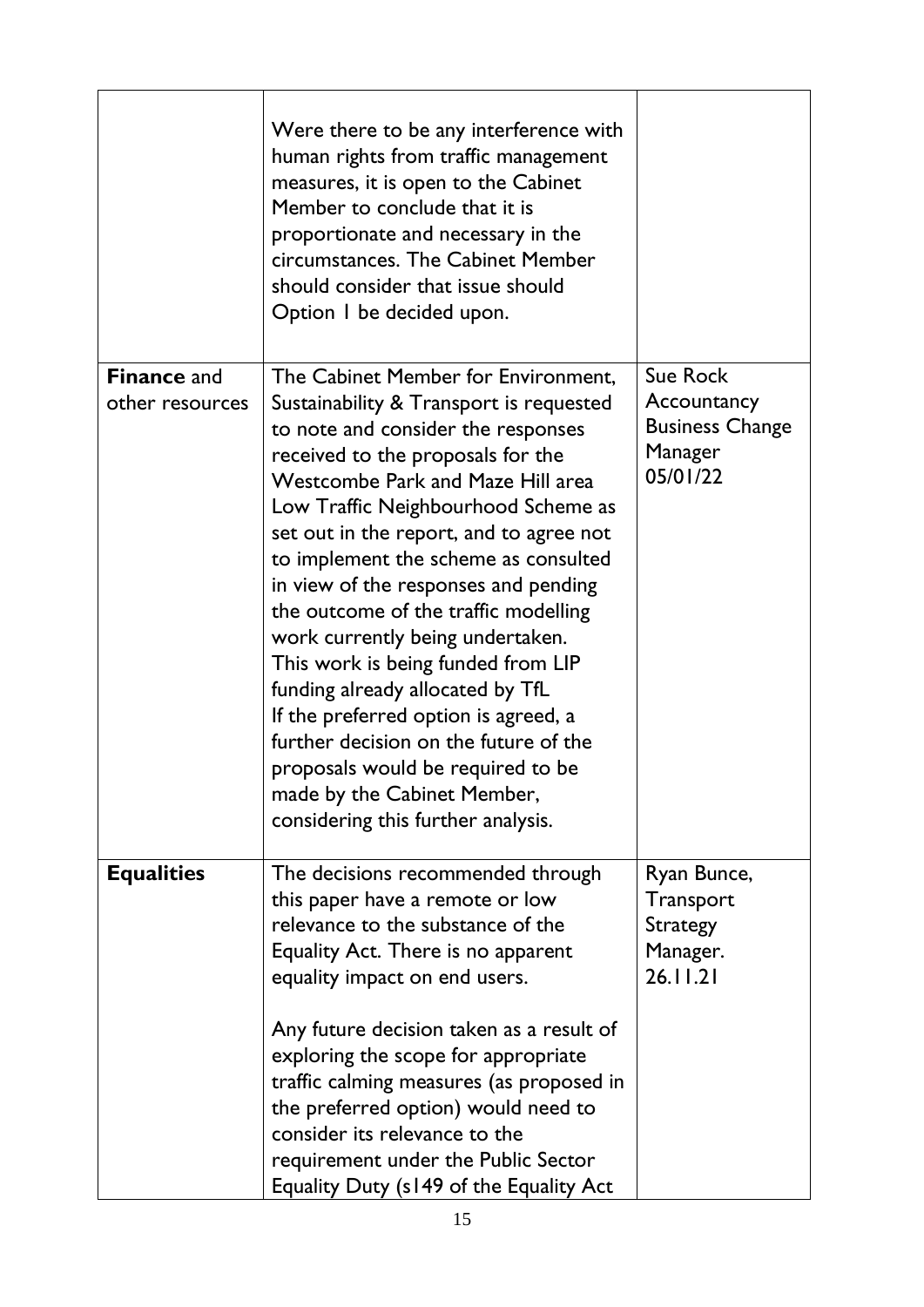|                                       | Were there to be any interference with<br>human rights from traffic management<br>measures, it is open to the Cabinet<br>Member to conclude that it is<br>proportionate and necessary in the<br>circumstances. The Cabinet Member<br>should consider that issue should<br>Option I be decided upon.                                                                                                                                                                                                                                                                                                                                                                                                                      |                                                                                 |
|---------------------------------------|--------------------------------------------------------------------------------------------------------------------------------------------------------------------------------------------------------------------------------------------------------------------------------------------------------------------------------------------------------------------------------------------------------------------------------------------------------------------------------------------------------------------------------------------------------------------------------------------------------------------------------------------------------------------------------------------------------------------------|---------------------------------------------------------------------------------|
| <b>Finance and</b><br>other resources | The Cabinet Member for Environment,<br>Sustainability & Transport is requested<br>to note and consider the responses<br>received to the proposals for the<br><b>Westcombe Park and Maze Hill area</b><br>Low Traffic Neighbourhood Scheme as<br>set out in the report, and to agree not<br>to implement the scheme as consulted<br>in view of the responses and pending<br>the outcome of the traffic modelling<br>work currently being undertaken.<br>This work is being funded from LIP<br>funding already allocated by TfL<br>If the preferred option is agreed, a<br>further decision on the future of the<br>proposals would be required to be<br>made by the Cabinet Member,<br>considering this further analysis. | <b>Sue Rock</b><br>Accountancy<br><b>Business Change</b><br>Manager<br>05/01/22 |
| <b>Equalities</b>                     | The decisions recommended through<br>this paper have a remote or low<br>relevance to the substance of the<br>Equality Act. There is no apparent<br>equality impact on end users.<br>Any future decision taken as a result of<br>exploring the scope for appropriate<br>traffic calming measures (as proposed in<br>the preferred option) would need to<br>consider its relevance to the<br>requirement under the Public Sector<br>Equality Duty (s149 of the Equality Act                                                                                                                                                                                                                                                | Ryan Bunce,<br>Transport<br><b>Strategy</b><br>Manager.<br>26.11.21             |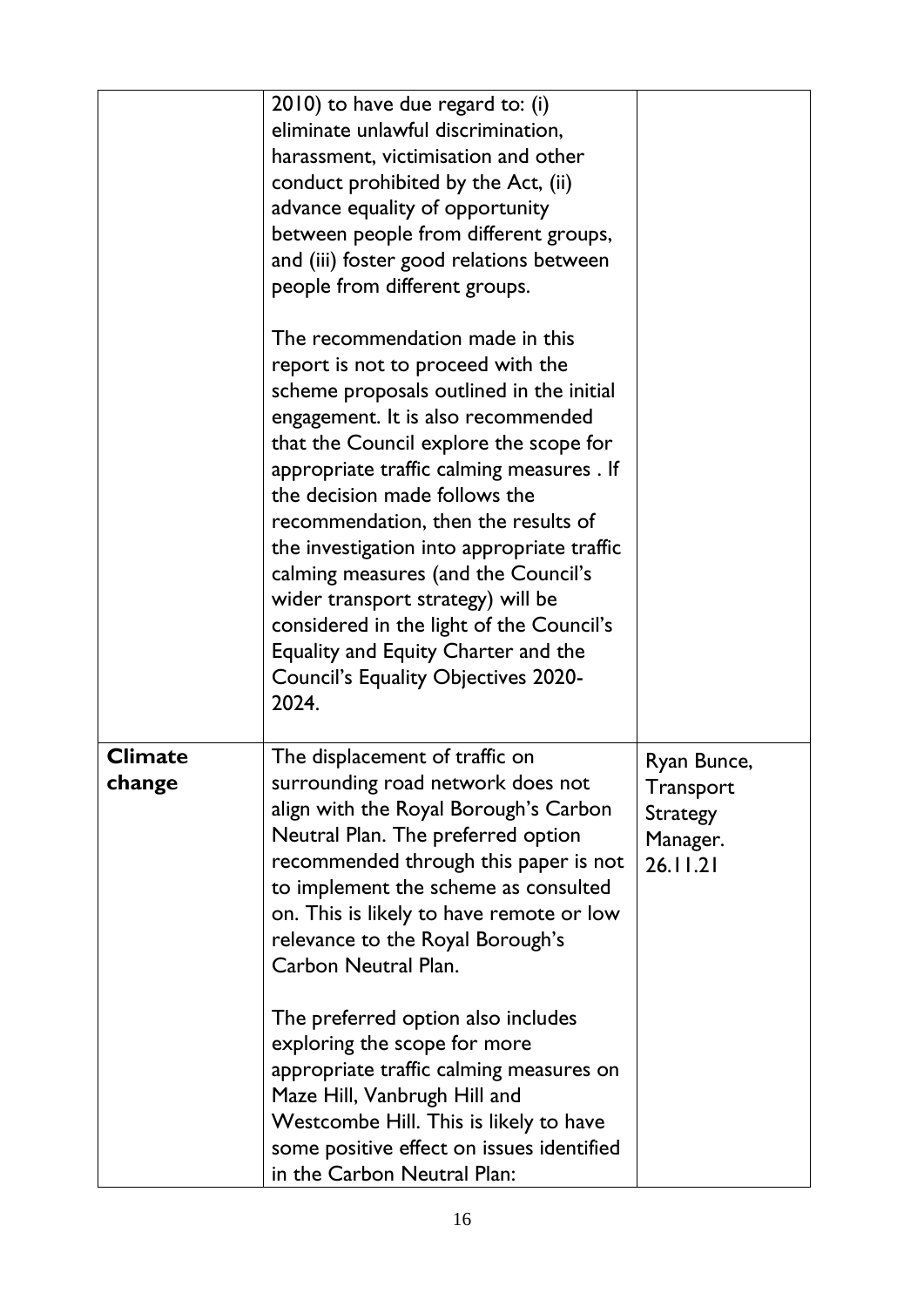|                          | 2010) to have due regard to: (i)<br>eliminate unlawful discrimination,<br>harassment, victimisation and other<br>conduct prohibited by the Act, (ii)<br>advance equality of opportunity<br>between people from different groups,<br>and (iii) foster good relations between<br>people from different groups.<br>The recommendation made in this                                                                                                                                                                                                        |                                                                     |
|--------------------------|--------------------------------------------------------------------------------------------------------------------------------------------------------------------------------------------------------------------------------------------------------------------------------------------------------------------------------------------------------------------------------------------------------------------------------------------------------------------------------------------------------------------------------------------------------|---------------------------------------------------------------------|
|                          | report is not to proceed with the<br>scheme proposals outlined in the initial<br>engagement. It is also recommended<br>that the Council explore the scope for<br>appropriate traffic calming measures . If<br>the decision made follows the<br>recommendation, then the results of<br>the investigation into appropriate traffic<br>calming measures (and the Council's<br>wider transport strategy) will be<br>considered in the light of the Council's<br>Equality and Equity Charter and the<br><b>Council's Equality Objectives 2020-</b><br>2024. |                                                                     |
| <b>Climate</b><br>cnange | The displacement of traffic on<br>surrounding road network does not<br>align with the Royal Borough's Carbon<br>Neutral Plan. The preferred option<br>recommended through this paper is not<br>to implement the scheme as consulted<br>on. This is likely to have remote or low<br>relevance to the Royal Borough's<br>Carbon Neutral Plan.<br>The preferred option also includes                                                                                                                                                                      | Ryan Bunce,<br>Transport<br><b>Strategy</b><br>Manager.<br>26.11.21 |
|                          | exploring the scope for more<br>appropriate traffic calming measures on<br>Maze Hill, Vanbrugh Hill and<br>Westcombe Hill. This is likely to have<br>some positive effect on issues identified<br>in the Carbon Neutral Plan:                                                                                                                                                                                                                                                                                                                          |                                                                     |